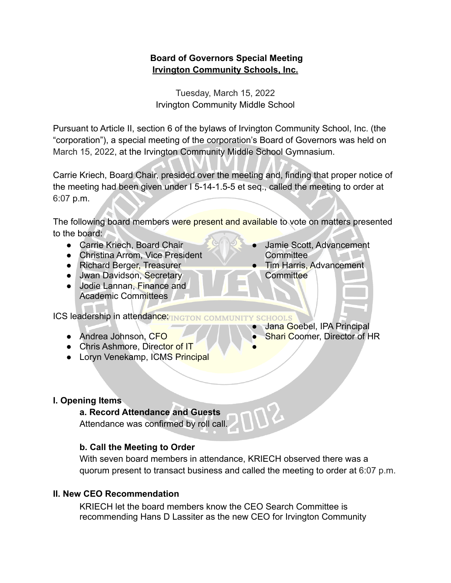# **Board of Governors Special Meeting Irvington Community Schools, Inc.**

Tuesday, March 15, 2022 Irvington Community Middle School

Pursuant to Article II, section 6 of the bylaws of Irvington Community School, Inc. (the "corporation"), a special meeting of the corporation's Board of Governors was held on March 15, 2022, at the Irvington Community Middle School Gymnasium.

Carrie Kriech, Board Chair, presided over the meeting and, finding that proper notice of the meeting had been given under I 5-14-1.5-5 et seq., called the meeting to order at 6:07 p.m.

The following board members were present and available to vote on matters presented to the board:

- Carrie Kriech, Board Chair
- Christina Arrom, Vice President
- Richard Berger, Treasurer
- Jwan Davidson, Secretary
- Jodie Lannan, Finance and Academic Committees

ICS leadership in attendance and community

- Andrea Johnson, CFO
- Chris Ashmore, Director of IT
- Loryn Venekamp, ICMS Principal

### **I. Opening Items**

#### **a. Record Attendance and Guests**

Attendance was confirmed by roll call.

### **b. Call the Meeting to Order**

With seven board members in attendance, KRIECH observed there was a quorum present to transact business and called the meeting to order at 6:07 p.m.

●

### **II. New CEO Recommendation**

KRIECH let the board members know the CEO Search Committee is recommending Hans D Lassiter as the new CEO for Irvington Community

- Jamie Scott, Advancement **Committee**
- **Tim Harris, Advancement Committee**
- Jana Goebel, IPA Principal
- **Shari Coomer, Director of HR**